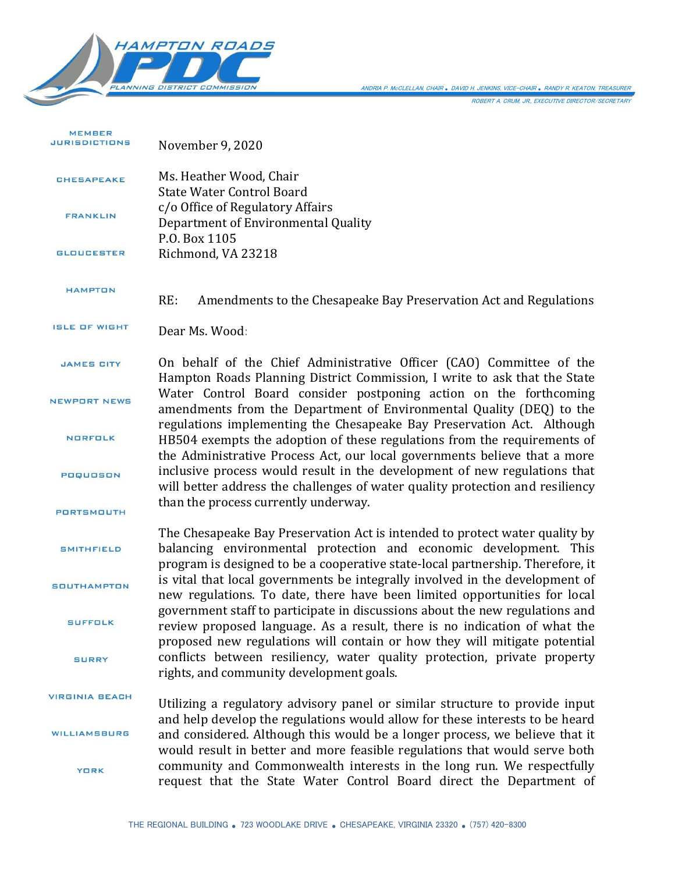

ANDRIA P. McCLELLAN, CHAIR *.* DAVID H. JENKINS, VICE-CHAIR *.* RANDY R. KEATON, TREASURER

ROBERT A. CRUM, JR., EXECUTIVE DIRECTOR/SECRETARY

| <b>MEMBER</b><br><b>JURISDICTIONS</b> | November 9, 2020                                                                                                                                                                                                                       |
|---------------------------------------|----------------------------------------------------------------------------------------------------------------------------------------------------------------------------------------------------------------------------------------|
| <b>CHESAPEAKE</b>                     | Ms. Heather Wood, Chair<br><b>State Water Control Board</b>                                                                                                                                                                            |
| <b>FRANKLIN</b>                       | c/o Office of Regulatory Affairs<br>Department of Environmental Quality<br>P.O. Box 1105                                                                                                                                               |
| <b>GLOUCESTER</b>                     | Richmond, VA 23218                                                                                                                                                                                                                     |
| <b>HAMPTON</b>                        | RE:<br>Amendments to the Chesapeake Bay Preservation Act and Regulations                                                                                                                                                               |
| <b>ISLE OF WIGHT</b>                  | Dear Ms. Wood:                                                                                                                                                                                                                         |
| <b>JAMES CITY</b>                     | On behalf of the Chief Administrative Officer (CAO) Committee of the<br>Hampton Roads Planning District Commission, I write to ask that the State                                                                                      |
| <b>NEWPORT NEWS</b>                   | Water Control Board consider postponing action on the forthcoming<br>amendments from the Department of Environmental Quality (DEQ) to the                                                                                              |
| <b>NORFOLK</b>                        | regulations implementing the Chesapeake Bay Preservation Act. Although<br>HB504 exempts the adoption of these regulations from the requirements of<br>the Administrative Process Act, our local governments believe that a more        |
| POQUOSON                              | inclusive process would result in the development of new regulations that<br>will better address the challenges of water quality protection and resiliency                                                                             |
| <b>PORTSMOUTH</b>                     | than the process currently underway.                                                                                                                                                                                                   |
| <b>SMITHFIELD</b>                     | The Chesapeake Bay Preservation Act is intended to protect water quality by<br>balancing environmental protection and economic development. This<br>program is designed to be a cooperative state-local partnership. Therefore, it     |
| <b>SOUTHAMPTON</b>                    | is vital that local governments be integrally involved in the development of<br>new regulations. To date, there have been limited opportunities for local                                                                              |
| <b>SUFFOLK</b>                        | government staff to participate in discussions about the new regulations and<br>review proposed language. As a result, there is no indication of what the<br>proposed new regulations will contain or how they will mitigate potential |
| <b>SURRY</b>                          | conflicts between resiliency, water quality protection, private property<br>rights, and community development goals.                                                                                                                   |
| <b>VIRGINIA BEACH</b>                 | Utilizing a regulatory advisory panel or similar structure to provide input<br>and help develop the regulations would allow for these interests to be heard                                                                            |
| <b>WILLIAMSBURG</b>                   | and considered. Although this would be a longer process, we believe that it<br>would result in better and more feasible regulations that would serve both                                                                              |
| <b>YORK</b>                           | community and Commonwealth interests in the long run. We respectfully<br>request that the State Water Control Board direct the Department of                                                                                           |